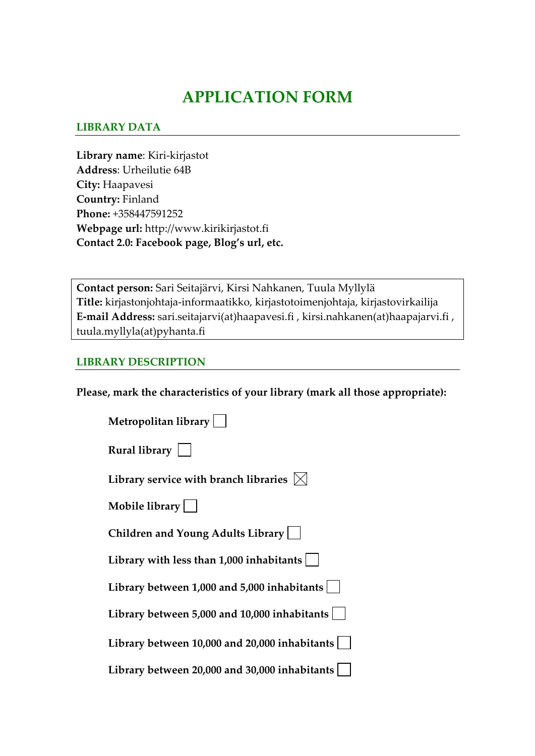# **APPLICATION FORM**

### **LIBRARY DATA**

**Library name**: Kiri‐kirjastot **Address**: Urheilutie 64B **City:** Haapavesi **Country:** Finland **Phone:** +358447591252 **Webpage url:** http://www.kirikirjastot.fi **Contact 2.0: Facebook page, Blog's url, etc.**

**Contact person:** Sari Seitajärvi, Kirsi Nahkanen, Tuula Myllylä **Title:** kirjastonjohtaja‐informaatikko, kirjastotoimenjohtaja, kirjastovirkailija **E‐mail Address:** sari.seitajarvi(at)haapavesi.fi , kirsi.nahkanen(at)haapajarvi.fi , tuula.myllyla(at)pyhanta.fi

#### **LIBRARY DESCRIPTION**

**Please, mark the characteristics of your library (mark all those appropriate):**

| Metropolitan library                             |
|--------------------------------------------------|
| Rural library $ $                                |
| Library service with branch libraries $ \times $ |
| Mobile library                                   |
| Children and Young Adults Library                |
| Library with less than $1,000$ inhabitants       |
| Library between $1,000$ and $5,000$ inhabitants  |
| Library between 5,000 and 10,000 inhabitants     |
| Library between 10,000 and 20,000 inhabitants    |
| Library between 20,000 and 30,000 inhabitants    |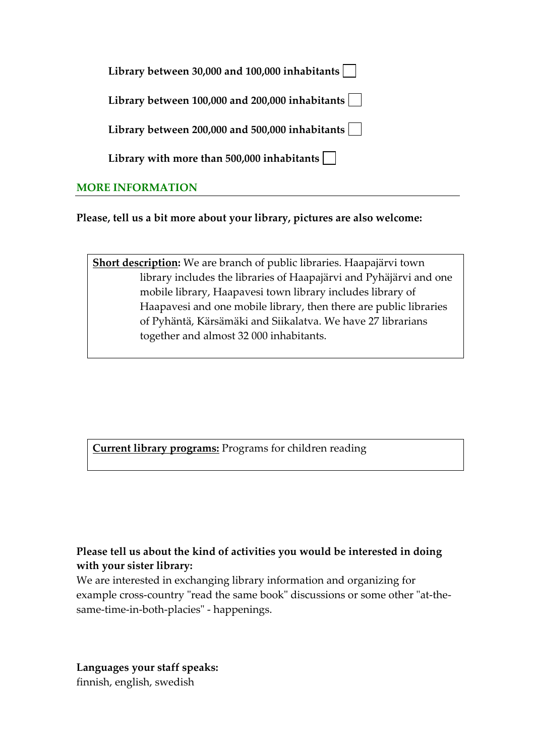| Library between 30,000 and 100,000 inhabitants $\vert$       |
|--------------------------------------------------------------|
| Library between 100,000 and 200,000 inhabitants $\vert$      |
| Library between 200,000 and 500,000 inhabitants $\vert$      |
| Library with more than 500,000 inhabitants $\vert \ \ \vert$ |
|                                                              |

### **MORE INFORMATION**

**Please, tell us a bit more about your library, pictures are also welcome:** 

**Short description:** We are branch of public libraries. Haapajärvi town library includes the libraries of Haapajärvi and Pyhäjärvi and one mobile library, Haapavesi town library includes library of Haapavesi and one mobile library, then there are public libraries of Pyhäntä, Kärsämäki and Siikalatva. We have 27 librarians together and almost 32 000 inhabitants.

**Current library programs:** Programs for children reading

# **Please tell us about the kind of activities you would be interested in doing with your sister library:**

We are interested in exchanging library information and organizing for example cross-country "read the same book" discussions or some other "at-thesame-time-in-both-placies" - happenings.

### **Languages your staff speaks:** finnish, english, swedish